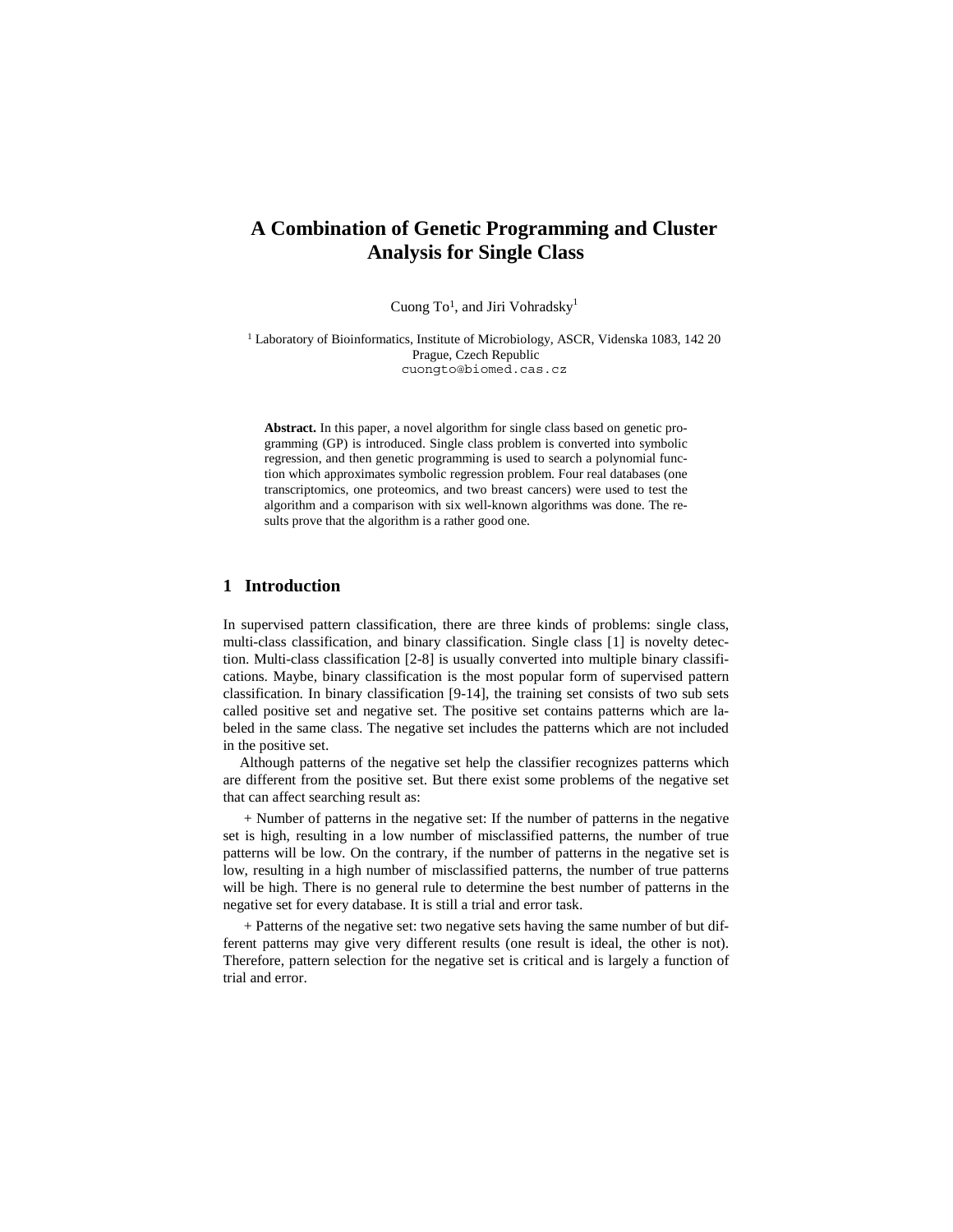# **A Combination of Genetic Programming and Cluster Analysis for Single Class**

Cuong To<sup>1</sup>, and Jiri Vohradsky<sup>1</sup>

<sup>1</sup> Laboratory of Bioinformatics, Institute of Microbiology, ASCR, Videnska 1083, 142 20 Prague, Czech Republic cuongto@biomed.cas.cz

**Abstract.** In this paper, a novel algorithm for single class based on genetic programming (GP) is introduced. Single class problem is converted into symbolic regression, and then genetic programming is used to search a polynomial function which approximates symbolic regression problem. Four real databases (one transcriptomics, one proteomics, and two breast cancers) were used to test the algorithm and a comparison with six well-known algorithms was done. The results prove that the algorithm is a rather good one.

# **1 Introduction**

In supervised pattern classification, there are three kinds of problems: single class, multi-class classification, and binary classification. Single class [1] is novelty detection. Multi-class classification [2-8] is usually converted into multiple binary classifications. Maybe, binary classification is the most popular form of supervised pattern classification. In binary classification [9-14], the training set consists of two sub sets called positive set and negative set. The positive set contains patterns which are labeled in the same class. The negative set includes the patterns which are not included in the positive set.

Although patterns of the negative set help the classifier recognizes patterns which are different from the positive set. But there exist some problems of the negative set that can affect searching result as:

+ Number of patterns in the negative set: If the number of patterns in the negative set is high, resulting in a low number of misclassified patterns, the number of true patterns will be low. On the contrary, if the number of patterns in the negative set is low, resulting in a high number of misclassified patterns, the number of true patterns will be high. There is no general rule to determine the best number of patterns in the negative set for every database. It is still a trial and error task.

+ Patterns of the negative set: two negative sets having the same number of but different patterns may give very different results (one result is ideal, the other is not). Therefore, pattern selection for the negative set is critical and is largely a function of trial and error.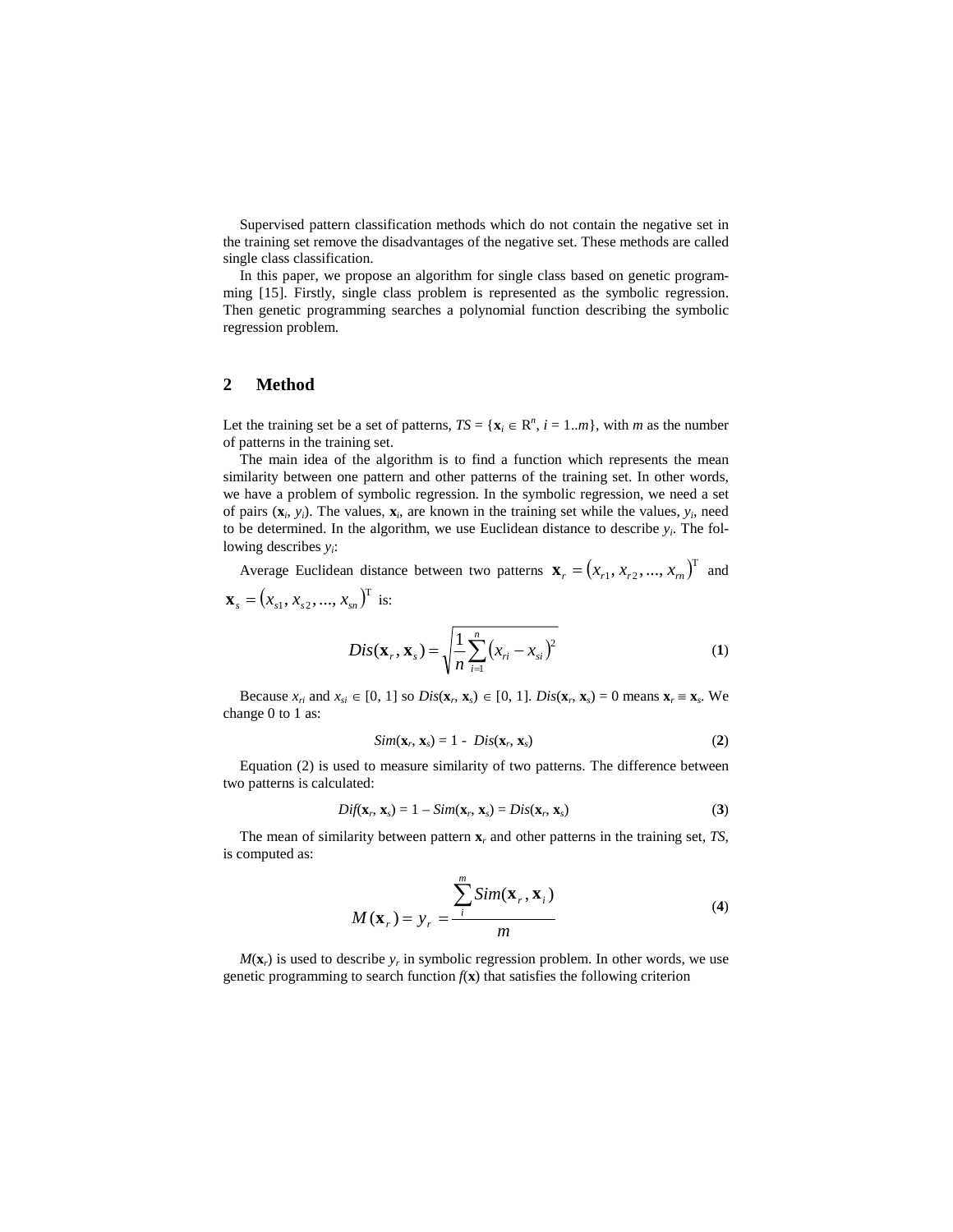Supervised pattern classification methods which do not contain the negative set in the training set remove the disadvantages of the negative set. These methods are called single class classification.

In this paper, we propose an algorithm for single class based on genetic programming [15]. Firstly, single class problem is represented as the symbolic regression. Then genetic programming searches a polynomial function describing the symbolic regression problem.

# **2 Method**

Let the training set be a set of patterns,  $TS = \{x_i \in \mathbb{R}^n, i = 1..m\}$ , with *m* as the number of patterns in the training set.

The main idea of the algorithm is to find a function which represents the mean similarity between one pattern and other patterns of the training set. In other words, we have a problem of symbolic regression. In the symbolic regression, we need a set of pairs  $(\mathbf{x}_i, y_i)$ . The values,  $\mathbf{x}_i$ , are known in the training set while the values,  $y_i$ , need to be determined. In the algorithm, we use Euclidean distance to describe  $y_i$ . The following describes *yi*:

Average Euclidean distance between two patterns  $\mathbf{x}_r = (x_{r_1}, x_{r_2}, ..., x_m)^\text{T}$  and  $\mathbf{x}_s = (x_{s1}, x_{s2}, ..., x_{sn})^T$  is: *n*

$$
Dis(\mathbf{x}_{r}, \mathbf{x}_{s}) = \sqrt{\frac{1}{n} \sum_{i=1}^{n} (x_{ri} - x_{si})^{2}}
$$
(1)

Because  $x_{ri}$  and  $x_{si} \in [0, 1]$  so  $Dis(\mathbf{x}_r, \mathbf{x}_s) \in [0, 1]$ .  $Dis(\mathbf{x}_r, \mathbf{x}_s) = 0$  means  $\mathbf{x}_r \equiv \mathbf{x}_s$ . We change 0 to 1 as:

$$
Sim(\mathbf{x}_r, \mathbf{x}_s) = 1 - Dis(\mathbf{x}_r, \mathbf{x}_s)
$$
\n(2)

Equation (2) is used to measure similarity of two patterns. The difference between two patterns is calculated:

$$
Dif(\mathbf{x}_r, \mathbf{x}_s) = 1 - Sim(\mathbf{x}_r, \mathbf{x}_s) = Dis(\mathbf{x}_r, \mathbf{x}_s)
$$
\n(3)

The mean of similarity between pattern **x***r* and other patterns in the training set, *TS*, is computed as:

$$
M(\mathbf{x}_r) = y_r = \frac{\sum_{i=1}^{m} Sim(\mathbf{x}_r, \mathbf{x}_i)}{m}
$$
 (4)

 $M(\mathbf{x}_r)$  is used to describe  $y_r$  in symbolic regression problem. In other words, we use genetic programming to search function  $f(\mathbf{x})$  that satisfies the following criterion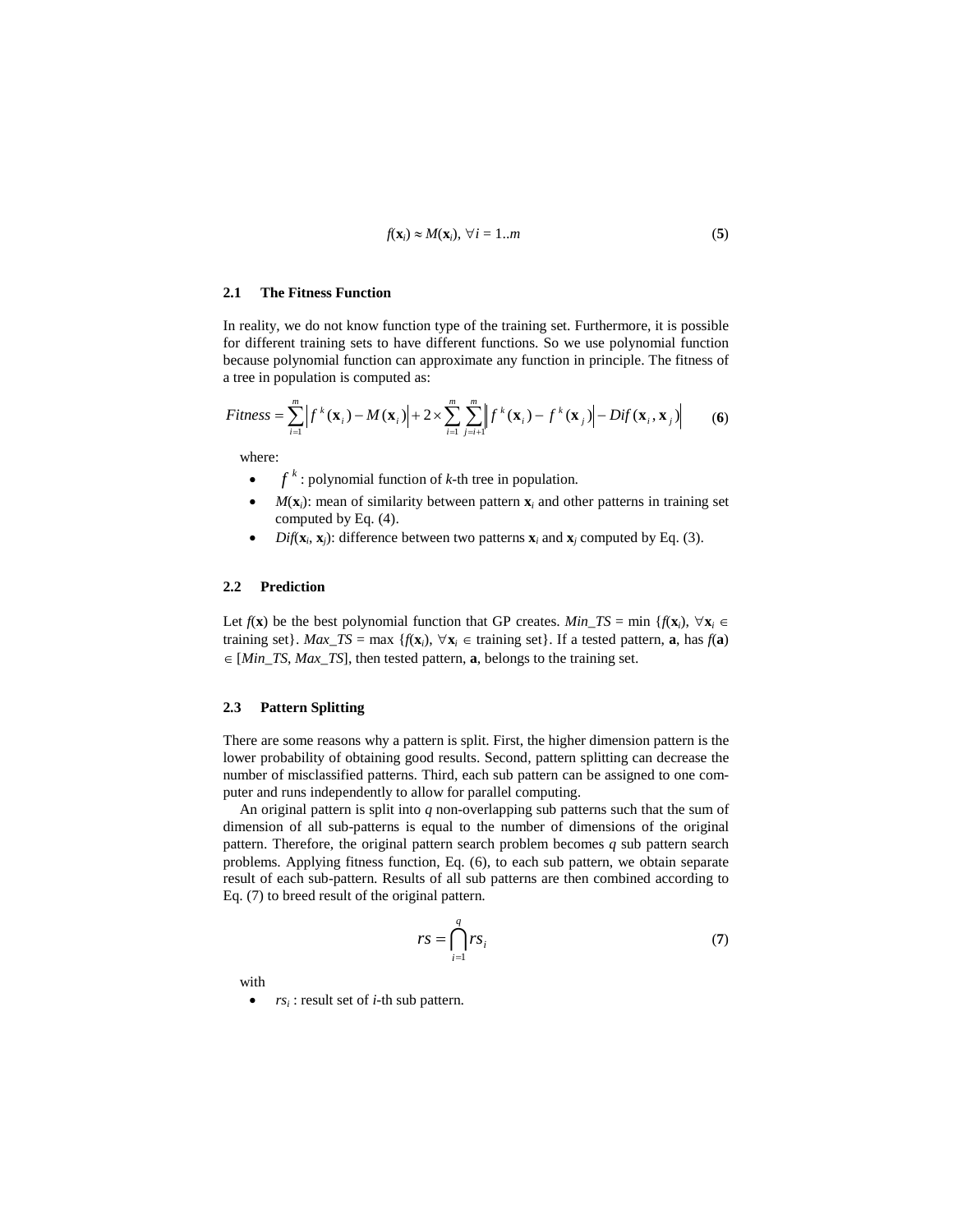$$
f(\mathbf{x}_i) \approx M(\mathbf{x}_i), \ \forall \, i = 1...m \tag{5}
$$

## **2.1 The Fitness Function**

In reality, we do not know function type of the training set. Furthermore, it is possible for different training sets to have different functions. So we use polynomial function because polynomial function can approximate any function in principle. The fitness of a tree in population is computed as:

$$
Fitness = \sum_{i=1}^{m} \left| f^{k}(\mathbf{x}_{i}) - M(\mathbf{x}_{i}) \right| + 2 \times \sum_{i=1}^{m} \sum_{j=i+1}^{m} \left| f^{k}(\mathbf{x}_{i}) - f^{k}(\mathbf{x}_{j}) \right| - Dif(\mathbf{x}_{i}, \mathbf{x}_{j}) \tag{6}
$$

where:

- $f^k$ : polynomial function of *k*-th tree in population.
- $M(\mathbf{x}_i)$ : mean of similarity between pattern  $\mathbf{x}_i$  and other patterns in training set computed by Eq. (4).
- $Diff(\mathbf{x}_i, \mathbf{x}_j)$ : difference between two patterns  $\mathbf{x}_i$  and  $\mathbf{x}_j$  computed by Eq. (3).

#### **2.2 Prediction**

Let  $f(\mathbf{x})$  be the best polynomial function that GP creates. *Min\_TS* = min { $f(\mathbf{x}_i)$ ,  $\forall \mathbf{x}_i \in$ training set}. *Max\_TS* = max { $f(\mathbf{x}_i)$ ,  $\forall \mathbf{x}_i \in \text{training set}$ }. If a tested pattern, **a**, has  $f(\mathbf{a})$ ∈ [*Min*\_*TS*, *Max*\_*TS*], then tested pattern, **a**, belongs to the training set.

#### **2.3 Pattern Splitting**

There are some reasons why a pattern is split. First, the higher dimension pattern is the lower probability of obtaining good results. Second, pattern splitting can decrease the number of misclassified patterns. Third, each sub pattern can be assigned to one computer and runs independently to allow for parallel computing.

An original pattern is split into *q* non-overlapping sub patterns such that the sum of dimension of all sub-patterns is equal to the number of dimensions of the original pattern. Therefore, the original pattern search problem becomes *q* sub pattern search problems. Applying fitness function, Eq. (6), to each sub pattern, we obtain separate result of each sub-pattern. Results of all sub patterns are then combined according to Eq. (7) to breed result of the original pattern.

$$
rs = \bigcap_{i=1}^{q} rs_i \tag{7}
$$

with

• *rsi* : result set of *i*-th sub pattern.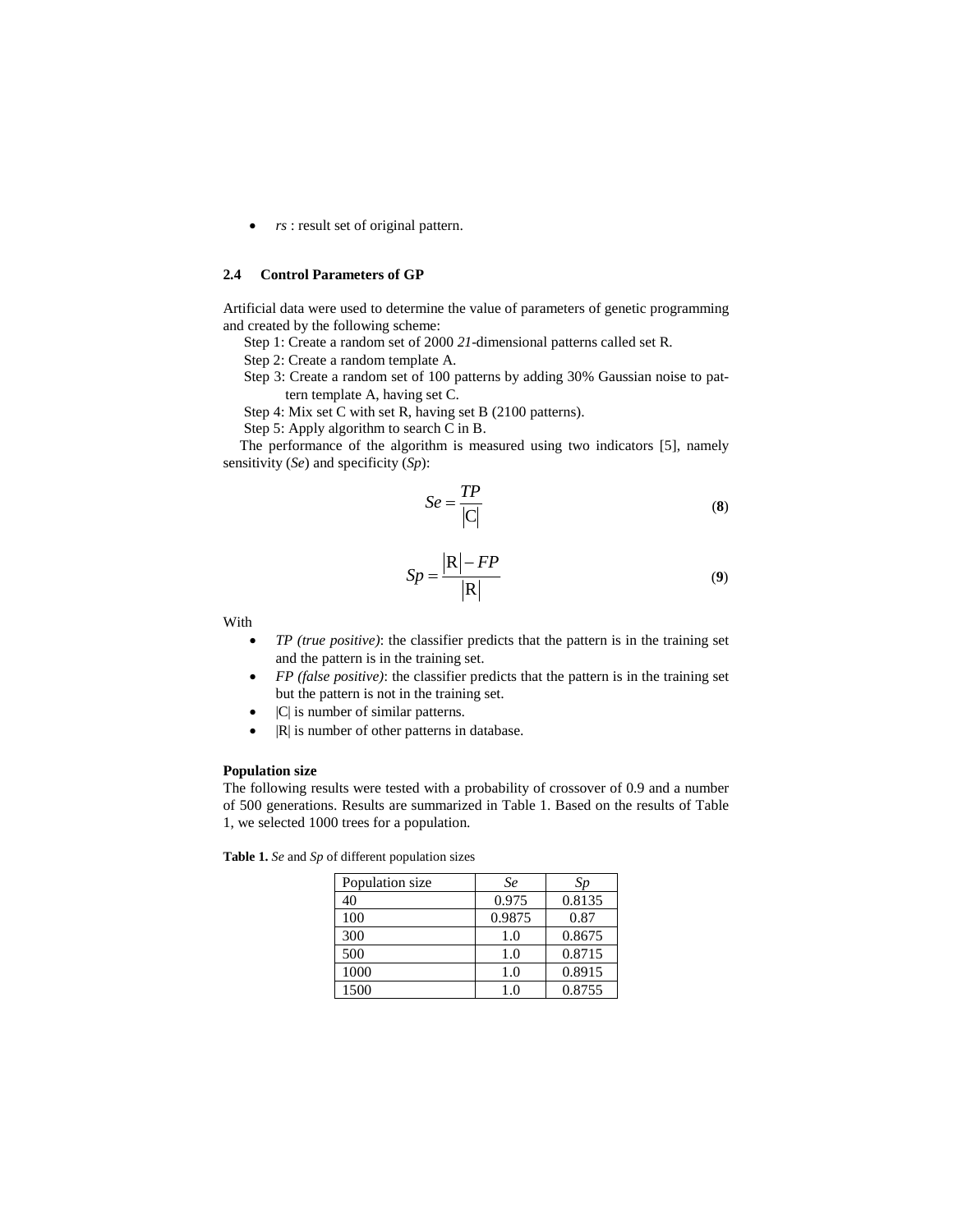• *rs* : result set of original pattern.

# **2.4 Control Parameters of GP**

Artificial data were used to determine the value of parameters of genetic programming and created by the following scheme:

- Step 1: Create a random set of 2000 *21*-dimensional patterns called set R.
- Step 2: Create a random template A.
- Step 3: Create a random set of 100 patterns by adding 30% Gaussian noise to pattern template A, having set C.
- Step 4: Mix set C with set R, having set B (2100 patterns).
- Step 5: Apply algorithm to search C in B.

The performance of the algorithm is measured using two indicators [5], namely sensitivity (*Se*) and specificity (*Sp*):

$$
Se = \frac{TP}{|C|} \tag{8}
$$

$$
Sp = \frac{|\mathbf{R}| - FP}{|\mathbf{R}|} \tag{9}
$$

With

- *TP (true positive)*: the classifier predicts that the pattern is in the training set and the pattern is in the training set.
- *FP (false positive)*: the classifier predicts that the pattern is in the training set but the pattern is not in the training set.
- |C| is number of similar patterns.
- | R| is number of other patterns in database.

## **Population size**

The following results were tested with a probability of crossover of 0.9 and a number of 500 generations. Results are summarized in Table 1. Based on the results of Table 1, we selected 1000 trees for a population.

**Table 1.** *Se* and *Sp* of different population sizes

| Population size | Se     | Sp     |
|-----------------|--------|--------|
| 40              | 0.975  | 0.8135 |
| 100             | 0.9875 | 0.87   |
| 300             | 1.0    | 0.8675 |
| 500             | 1.0    | 0.8715 |
| 1000            | 1.0    | 0.8915 |
| 1500            | 1.0    | 0.8755 |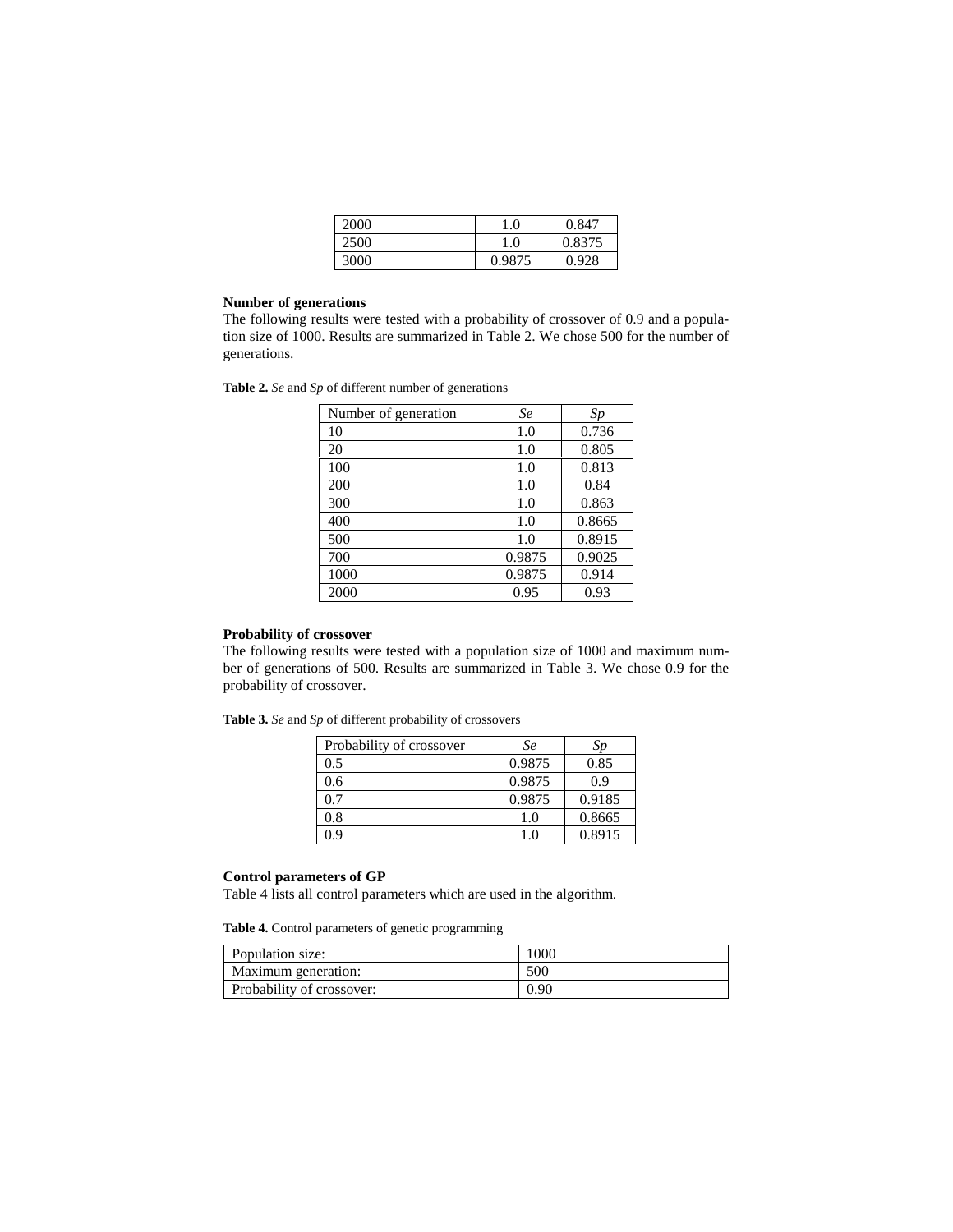| 2000 | 1.0    | 0.847  |
|------|--------|--------|
| 2500 | 1.0    | 0.8375 |
| 3000 | 0.9875 | 0.928  |

# **Number of generations**

The following results were tested with a probability of crossover of 0.9 and a population size of 1000. Results are summarized in Table 2. We chose 500 for the number of generations.

**Table 2.** *Se* and *Sp* of different number of generations

| Number of generation | <b>Se</b> | Sp     |
|----------------------|-----------|--------|
| 10                   | 1.0       | 0.736  |
| 20                   | 1.0       | 0.805  |
| 100                  | 1.0       | 0.813  |
| 200                  | 1.0       | 0.84   |
| 300                  | 1.0       | 0.863  |
| 400                  | 1.0       | 0.8665 |
| 500                  | 1.0       | 0.8915 |
| 700                  | 0.9875    | 0.9025 |
| 1000                 | 0.9875    | 0.914  |
| 2000                 | 0.95      | 0.93   |

# **Probability of crossover**

The following results were tested with a population size of 1000 and maximum number of generations of 500. Results are summarized in Table 3. We chose 0.9 for the probability of crossover.

| Table 3. Se and Sp of different probability of crossovers |  |  |
|-----------------------------------------------------------|--|--|
|-----------------------------------------------------------|--|--|

| Probability of crossover | Se     | Sp     |
|--------------------------|--------|--------|
| 0.5                      | 0.9875 | 0.85   |
| 0.6                      | 0.9875 | 0.9    |
| 0.7                      | 0.9875 | 0.9185 |
| 0.8                      | 1.0    | 0.8665 |
| 0 ዓ                      | 1.0    | 0.8915 |

#### **Control parameters of GP**

Table 4 lists all control parameters which are used in the algorithm.

**Table 4.** Control parameters of genetic programming

| Population size:          | 1000 |
|---------------------------|------|
| Maximum generation:       | 500  |
| Probability of crossover: | 0.90 |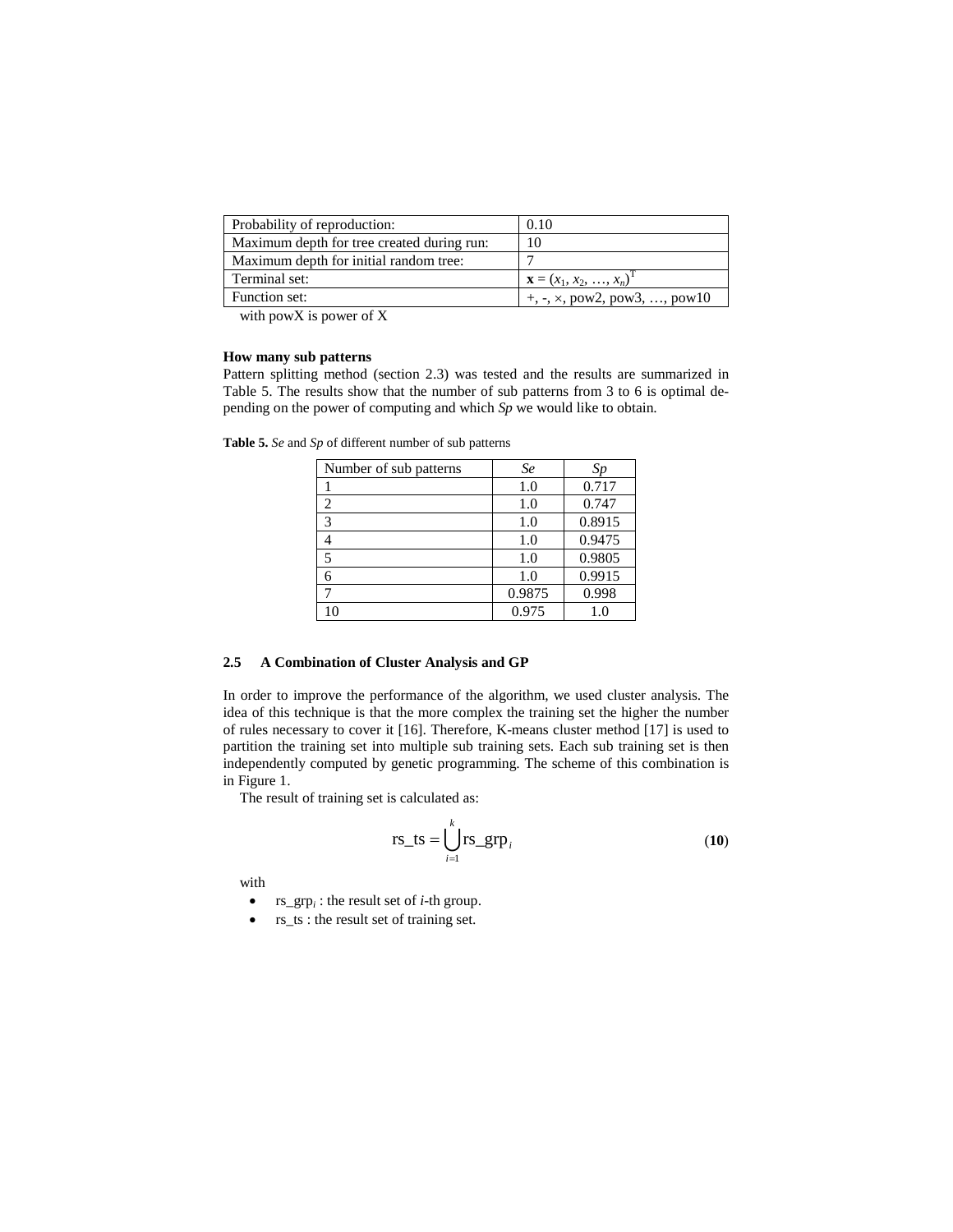| Probability of reproduction:               | 0.10                                                                    |
|--------------------------------------------|-------------------------------------------------------------------------|
| Maximum depth for tree created during run: | 10                                                                      |
| Maximum depth for initial random tree:     |                                                                         |
| Terminal set:                              | $\mathbf{X} = (x_1, x_2, , x_n)^T$                                      |
| Function set:                              | $+, \frac{1}{2}, \times, \text{pow2}, \text{pow3}, \dots, \text{pow10}$ |

with powX is power of X

#### **How many sub patterns**

Pattern splitting method (section 2.3) was tested and the results are summarized in Table 5. The results show that the number of sub patterns from 3 to 6 is optimal depending on the power of computing and which *Sp* we would like to obtain.

| Number of sub patterns | Se     | Sp     |
|------------------------|--------|--------|
|                        | 1.0    | 0.717  |
| $\overline{c}$         | 1.0    | 0.747  |
| 3                      | 1.0    | 0.8915 |
|                        | 1.0    | 0.9475 |
| 5                      | 1.0    | 0.9805 |
|                        | 1.0    | 0.9915 |
|                        | 0.9875 | 0.998  |
| 10                     | 0.975  | 1.0    |

**Table 5.** *Se* and *Sp* of different number of sub patterns

# **2.5 A Combination of Cluster Analysis and GP**

In order to improve the performance of the algorithm, we used cluster analysis. The idea of this technique is that the more complex the training set the higher the number of rules necessary to cover it [16]. Therefore, K-means cluster method [17] is used to partition the training set into multiple sub training sets. Each sub training set is then independently computed by genetic programming. The scheme of this combination is in Figure 1.

The result of training set is calculated as:

$$
rs\_ts = \bigcup_{i=1}^{k} rs\_grp_i
$$
 (10)

with

- $rs\_grp_i$ : the result set of *i*-th group.
- rs\_ts : the result set of training set.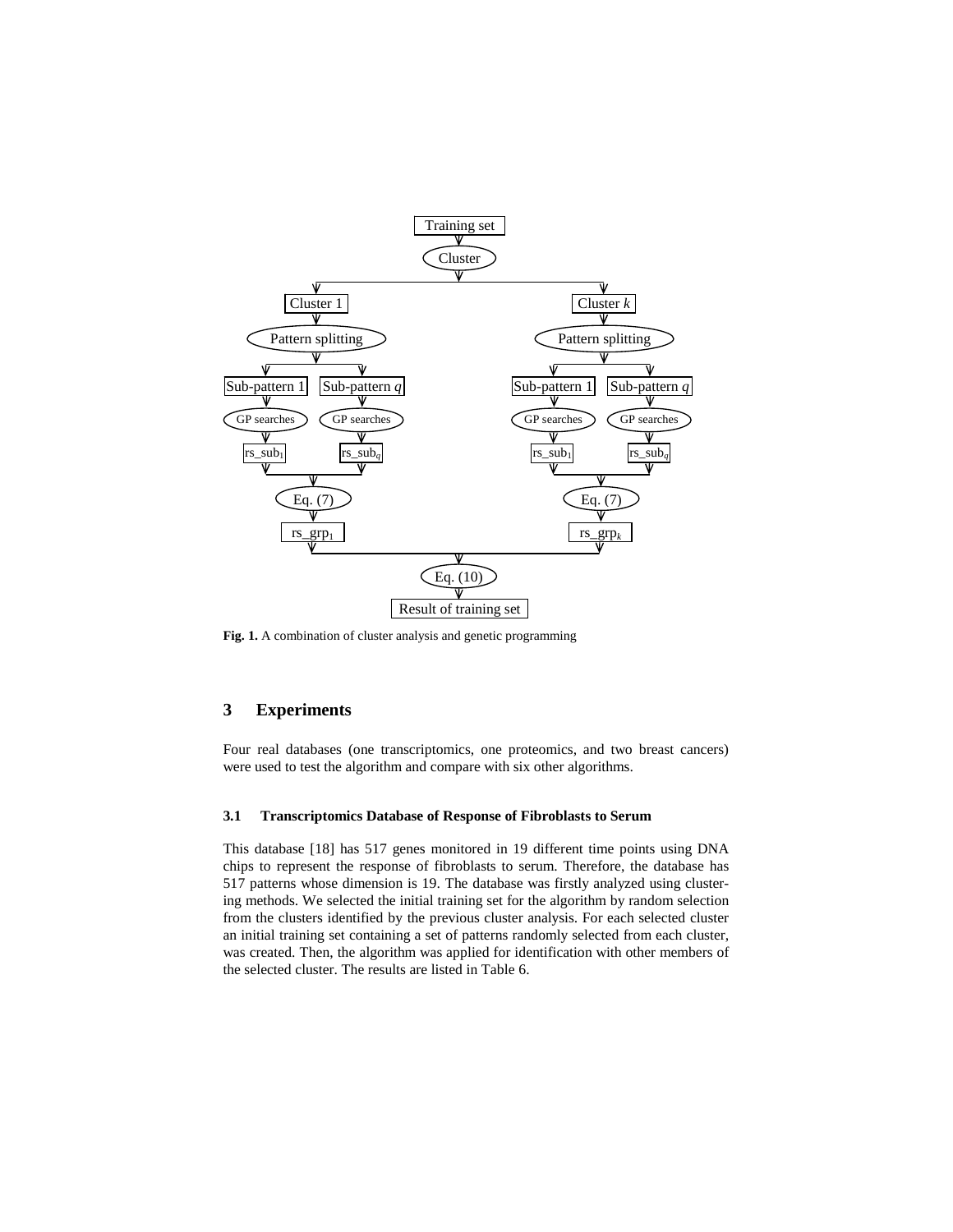

**Fig. 1.** A combination of cluster analysis and genetic programming

# **3 Experiments**

Four real databases (one transcriptomics, one proteomics, and two breast cancers) were used to test the algorithm and compare with six other algorithms.

#### **3.1 Transcriptomics Database of Response of Fibroblasts to Serum**

This database [18] has 517 genes monitored in 19 different time points using DNA chips to represent the response of fibroblasts to serum. Therefore, the database has 517 patterns whose dimension is 19. The database was firstly analyzed using clustering methods. We selected the initial training set for the algorithm by random selection from the clusters identified by the previous cluster analysis. For each selected cluster an initial training set containing a set of patterns randomly selected from each cluster, was created. Then, the algorithm was applied for identification with other members of the selected cluster. The results are listed in Table 6.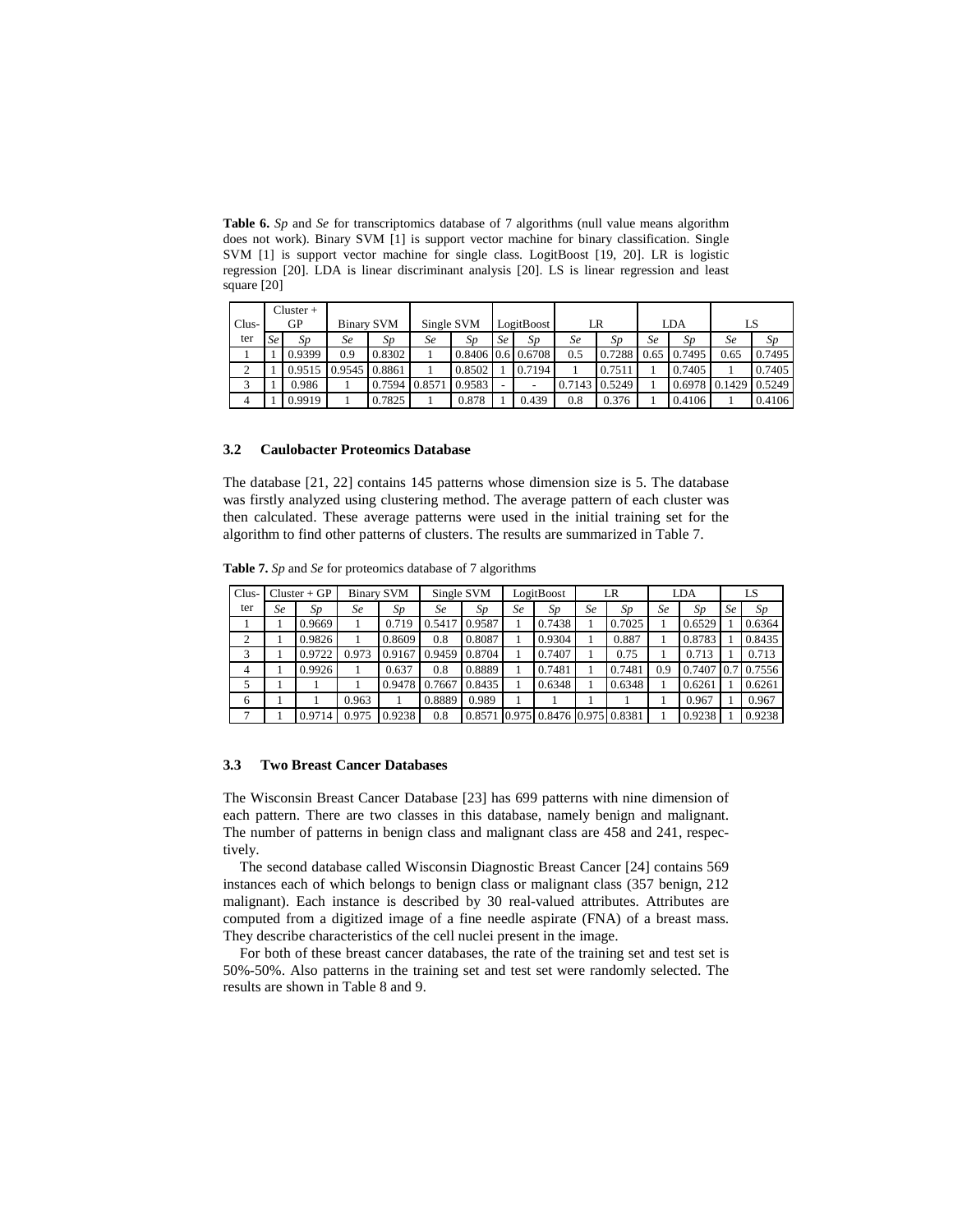**Table 6.** *Sp* and *Se* for transcriptomics database of 7 algorithms (null value means algorithm does not work). Binary SVM [1] is support vector machine for binary classification. Single SVM [1] is support vector machine for single class. LogitBoost [19, 20]. LR is logistic regression [20]. LDA is linear discriminant analysis [20]. LS is linear regression and least square [20]

|         |      | $Cluster +$ |                   |        |            |        |            |                     |        |        |      |        |      |               |
|---------|------|-------------|-------------------|--------|------------|--------|------------|---------------------|--------|--------|------|--------|------|---------------|
| $Clus-$ | GP   |             | <b>Binary SVM</b> |        | Single SVM |        | LogitBoost |                     | LR     |        | LDA  |        | LS   |               |
| ter     | Se l | Sp          | Se                | Sp     | Se         | Sp     | Se         | Sp                  | Se     | Sp     | Se   | Sp     | Se   | Sp            |
|         |      | 0.9399      | 0.9               | 0.8302 |            |        |            | $0.8406$ 0.6 0.6708 | 0.5    | 0.7288 | 0.65 | 0.7495 | 0.65 | 0.7495        |
|         |      | 0.9515      | 0.9545            | 0.8861 |            | 0.8502 |            | 0.7194              |        | 0.7511 |      | 0.7405 |      | 0.7405        |
|         |      | 0.986       |                   | 0.7594 | 0.8571     | 0.9583 |            |                     | 0.7143 | 0.5249 |      | 0.6978 |      | 0.1429 0.5249 |
|         |      | 0.9919      |                   | 0.7825 |            | 0.878  |            | 0.439               | 0.8    | 0.376  |      | 0.4106 |      | 0.4106        |

#### **3.2 Caulobacter Proteomics Database**

The database [21, 22] contains 145 patterns whose dimension size is 5. The database was firstly analyzed using clustering method. The average pattern of each cluster was then calculated. These average patterns were used in the initial training set for the algorithm to find other patterns of clusters. The results are summarized in Table 7.

**Table 7.** *Sp* and *Se* for proteomics database of 7 algorithms

| Clus- | $Cluster + GP$ |        | <b>Binary SVM</b> |        | Single SVM |        |    | LogitBoost                |    | LR     |           | <b>LDA</b> | LS |        |
|-------|----------------|--------|-------------------|--------|------------|--------|----|---------------------------|----|--------|-----------|------------|----|--------|
| ter   | Se             | Sp     | Se                | Sp     | Se         | Sp     | Se | Sp                        | Se | Sp     | <b>Se</b> | Sp         | Se | Sp     |
|       |                | 0.9669 |                   | 0.719  | 0.5417     | 0.9587 |    | 0.7438                    |    | 0.7025 |           | 0.6529     |    | 0.6364 |
|       |                | 0.9826 |                   | 0.8609 | 0.8        | 0.8087 |    | 0.9304                    |    | 0.887  |           | 0.8783     |    | 0.8435 |
|       |                | 0.9722 | 0.973             | 0.9167 | 0.9459     | 0.8704 |    | 0.7407                    |    | 0.75   |           | 0.713      |    | 0.713  |
| 4     |                | 0.9926 |                   | 0.637  | 0.8        | 0.8889 |    | 0.7481                    |    | 0.7481 | 0.9       | 0.7407     |    | 0.7556 |
|       |                |        |                   | 0.9478 | 0.7667     | 0.8435 |    | 0.6348                    |    | 0.6348 |           | 0.6261     |    | 0.6261 |
| 6     |                |        | 0.963             |        | 0.8889     | 0.989  |    |                           |    |        |           | 0.967      |    | 0.967  |
|       |                | 0.9714 | 0.975             | 0.9238 | 0.8        | 0.8571 |    | 0.975 0.8476 0.975 0.8381 |    |        |           | 0.9238     |    | 0.9238 |

### **3.3 Two Breast Cancer Databases**

The Wisconsin Breast Cancer Database [23] has 699 patterns with nine dimension of each pattern. There are two classes in this database, namely benign and malignant. The number of patterns in benign class and malignant class are 458 and 241, respectively.

The second database called Wisconsin Diagnostic Breast Cancer [24] contains 569 instances each of which belongs to benign class or malignant class (357 benign, 212 malignant). Each instance is described by 30 real-valued attributes. Attributes are computed from a digitized image of a fine needle aspirate (FNA) of a breast mass. They describe characteristics of the cell nuclei present in the image.

For both of these breast cancer databases, the rate of the training set and test set is 50%-50%. Also patterns in the training set and test set were randomly selected. The results are shown in Table 8 and 9.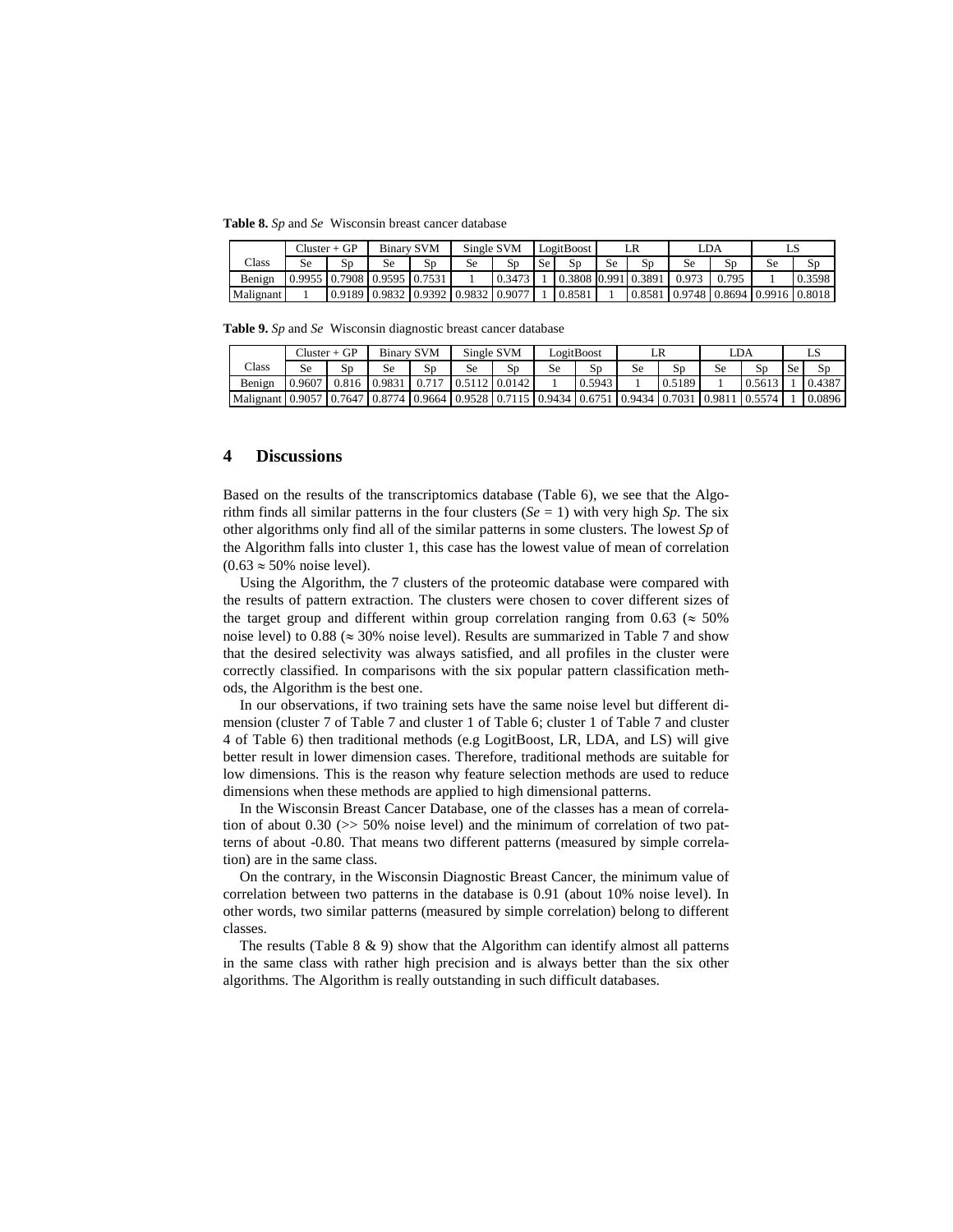**Table 8.** *Sp* and *Se* Wisconsin breast cancer database

|           |    | Cluster + GP                | <b>Binary SVM</b> |                                    | Single SVM |        | LogitBoost |                           | LR |    | LDA |       |                                    |        |
|-----------|----|-----------------------------|-------------------|------------------------------------|------------|--------|------------|---------------------------|----|----|-----|-------|------------------------------------|--------|
| Class     | Se | Sp                          | Se                | SD                                 | Se         | Sp     | Se         |                           | Se | Sp | Se  | Sp    | Sе                                 | SD     |
| Benign    |    | 0.9955 0.7908 0.9595 0.7531 |                   |                                    |            | 0.3473 |            | 0.3808 0.991 0.3891 0.973 |    |    |     | 0.795 |                                    | 0.3598 |
| Malignant |    |                             |                   | 0.9189 0.9832 0.9392 0.9832 0.9077 |            |        |            | 0.8581                    |    |    |     |       | 0.8581 0.9748 0.8694 0.9916 0.8018 |        |

**Table 9.** *Sp* and *Se* Wisconsin diagnostic breast cancer database

|                                                                                                          | Cluster + GP |    | <b>Binary SVM</b>      |    | Single SVM                        |    |    | LogitBoost | LR |        | LDA |        |    |        |
|----------------------------------------------------------------------------------------------------------|--------------|----|------------------------|----|-----------------------------------|----|----|------------|----|--------|-----|--------|----|--------|
| Class                                                                                                    | <b>Se</b>    | Sn | Se                     | Sp | <b>Se</b>                         | Sp | Se | Sp         | Se | Sp     | Se  | Sp     | Se | Sp     |
| Benign                                                                                                   | 0.9607       |    | $0.816$ $0.9831$ 0.717 |    | $\big  0.5112 \big  0.0142 \big $ |    |    | 0.5943     |    | 0.5189 |     | 0.5613 |    | 0.4387 |
| Malignant 0.9057 10.7647 10.8774 10.9664 10.9528 10.7115 10.9434 10.6751 10.9434 10.7031 10.9811 10.5574 |              |    |                        |    |                                   |    |    |            |    |        |     |        |    | 0.0896 |

# **4 Discussions**

Based on the results of the transcriptomics database (Table 6), we see that the Algorithm finds all similar patterns in the four clusters  $(Se = 1)$  with very high *Sp*. The six other algorithms only find all of the similar patterns in some clusters. The lowest *Sp* of the Algorithm falls into cluster 1, this case has the lowest value of mean of correlation  $(0.63 \approx 50\% \text{ noise level}).$ 

Using the Algorithm, the 7 clusters of the proteomic database were compared with the results of pattern extraction. The clusters were chosen to cover different sizes of the target group and different within group correlation ranging from 0.63 ( $\approx$  50% noise level) to  $0.88 \approx 30\%$  noise level). Results are summarized in Table 7 and show that the desired selectivity was always satisfied, and all profiles in the cluster were correctly classified. In comparisons with the six popular pattern classification methods, the Algorithm is the best one.

In our observations, if two training sets have the same noise level but different dimension (cluster 7 of Table 7 and cluster 1 of Table 6; cluster 1 of Table 7 and cluster 4 of Table 6) then traditional methods (e.g LogitBoost, LR, LDA, and LS) will give better result in lower dimension cases. Therefore, traditional methods are suitable for low dimensions. This is the reason why feature selection methods are used to reduce dimensions when these methods are applied to high dimensional patterns.

In the Wisconsin Breast Cancer Database, one of the classes has a mean of correlation of about  $0.30$  ( $> 50\%$  noise level) and the minimum of correlation of two patterns of about -0.80. That means two different patterns (measured by simple correlation) are in the same class.

On the contrary, in the Wisconsin Diagnostic Breast Cancer, the minimum value of correlation between two patterns in the database is 0.91 (about 10% noise level). In other words, two similar patterns (measured by simple correlation) belong to different classes.

The results (Table  $8 \& 9$ ) show that the Algorithm can identify almost all patterns in the same class with rather high precision and is always better than the six other algorithms. The Algorithm is really outstanding in such difficult databases.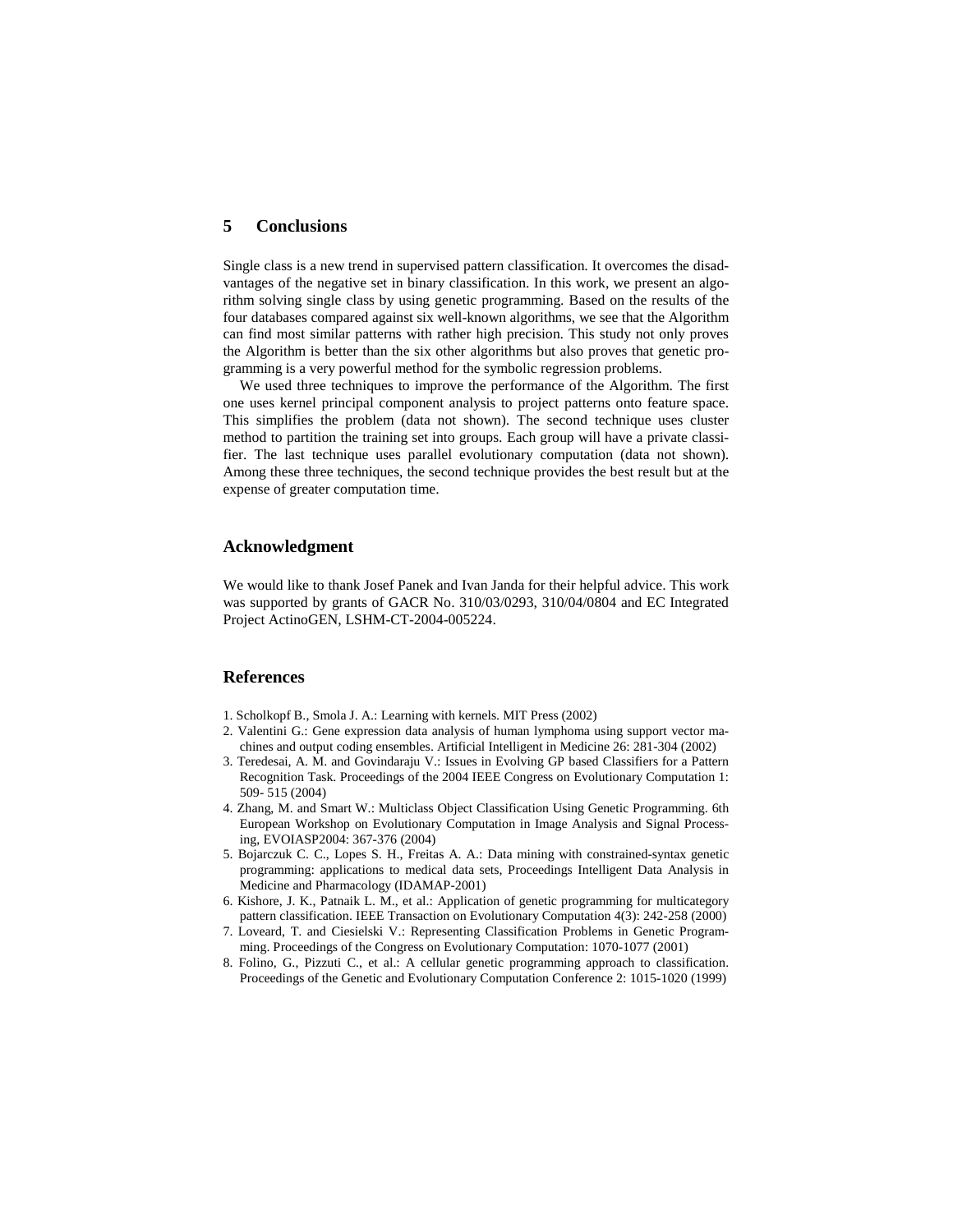# **5 Conclusions**

Single class is a new trend in supervised pattern classification. It overcomes the disadvantages of the negative set in binary classification. In this work, we present an algorithm solving single class by using genetic programming. Based on the results of the four databases compared against six well-known algorithms, we see that the Algorithm can find most similar patterns with rather high precision. This study not only proves the Algorithm is better than the six other algorithms but also proves that genetic programming is a very powerful method for the symbolic regression problems.

We used three techniques to improve the performance of the Algorithm. The first one uses kernel principal component analysis to project patterns onto feature space. This simplifies the problem (data not shown). The second technique uses cluster method to partition the training set into groups. Each group will have a private classifier. The last technique uses parallel evolutionary computation (data not shown). Among these three techniques, the second technique provides the best result but at the expense of greater computation time.

# **Acknowledgment**

We would like to thank Josef Panek and Ivan Janda for their helpful advice. This work was supported by grants of GACR No. 310/03/0293, 310/04/0804 and EC Integrated Project ActinoGEN, LSHM-CT-2004-005224.

# **References**

- 1. Scholkopf B., Smola J. A.: Learning with kernels. MIT Press (2002)
- 2. Valentini G.: Gene expression data analysis of human lymphoma using support vector machines and output coding ensembles. Artificial Intelligent in Medicine 26: 281-304 (2002)
- 3. Teredesai, A. M. and Govindaraju V.: Issues in Evolving GP based Classifiers for a Pattern Recognition Task. Proceedings of the 2004 IEEE Congress on Evolutionary Computation 1: 509- 515 (2004)
- 4. Zhang, M. and Smart W.: Multiclass Object Classification Using Genetic Programming. 6th European Workshop on Evolutionary Computation in Image Analysis and Signal Processing, EVOIASP2004: 367-376 (2004)
- 5. Bojarczuk C. C., Lopes S. H., Freitas A. A.: Data mining with constrained-syntax genetic programming: applications to medical data sets, Proceedings Intelligent Data Analysis in Medicine and Pharmacology (IDAMAP-2001)
- 6. Kishore, J. K., Patnaik L. M., et al.: Application of genetic programming for multicategory pattern classification. IEEE Transaction on Evolutionary Computation 4(3): 242-258 (2000)
- 7. Loveard, T. and Ciesielski V.: Representing Classification Problems in Genetic Programming. Proceedings of the Congress on Evolutionary Computation: 1070-1077 (2001)
- 8. Folino, G., Pizzuti C., et al.: A cellular genetic programming approach to classification. Proceedings of the Genetic and Evolutionary Computation Conference 2: 1015-1020 (1999)